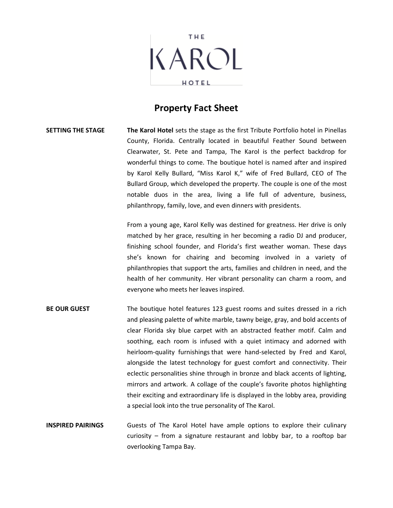

## **Property Fact Sheet**

## **SETTING THE STAGE The Karol Hotel** sets the stage as the first Tribute Portfolio hotel in Pinellas County, Florida. Centrally located in beautiful Feather Sound between Clearwater, St. Pete and Tampa, The Karol is the perfect backdrop for wonderful things to come. The boutique hotel is named after and inspired by Karol Kelly Bullard, "Miss Karol K," wife of Fred Bullard, CEO of The Bullard Group, which developed the property. The couple is one of the most notable duos in the area, living a life full of adventure, business, philanthropy, family, love, and even dinners with presidents.

From a young age, Karol Kelly was destined for greatness. Her drive is only matched by her grace, resulting in her becoming a radio DJ and producer, finishing school founder, and Florida's first weather woman. These days she's known for chairing and becoming involved in a variety of philanthropies that support the arts, families and children in need, and the health of her community. Her vibrant personality can charm a room, and everyone who meets her leaves inspired.

## **BE OUR GUEST** The boutique hotel features 123 guest rooms and suites dressed in a rich and pleasing palette of white marble, tawny beige, gray, and bold accents of clear Florida sky blue carpet with an abstracted feather motif. Calm and soothing, each room is infused with a quiet intimacy and adorned with heirloom-quality furnishings that were hand-selected by Fred and Karol, alongside the latest technology for guest comfort and connectivity. Their eclectic personalities shine through in bronze and black accents of lighting, mirrors and artwork. A collage of the couple's favorite photos highlighting their exciting and extraordinary life is displayed in the lobby area, providing a special look into the true personality of The Karol.

**INSPIRED PAIRINGS** Guests of The Karol Hotel have ample options to explore their culinary curiosity – from a signature restaurant and lobby bar, to a rooftop bar overlooking Tampa Bay.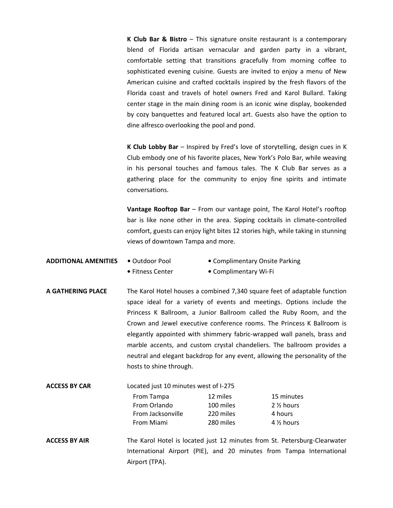**K Club Bar & Bistro** – This signature onsite restaurant is a contemporary blend of Florida artisan vernacular and garden party in a vibrant, comfortable setting that transitions gracefully from morning coffee to sophisticated evening cuisine. Guests are invited to enjoy a menu of New American cuisine and crafted cocktails inspired by the fresh flavors of the Florida coast and travels of hotel owners Fred and Karol Bullard. Taking center stage in the main dining room is an iconic wine display, bookended by cozy banquettes and featured local art. Guests also have the option to dine alfresco overlooking the pool and pond.

**K Club Lobby Bar** – Inspired by Fred's love of storytelling, design cues in K Club embody one of his favorite places, New York's Polo Bar, while weaving in his personal touches and famous tales. The K Club Bar serves as a gathering place for the community to enjoy fine spirits and intimate conversations.

**Vantage Rooftop Bar** – From our vantage point, The Karol Hotel's rooftop bar is like none other in the area. Sipping cocktails in climate-controlled comfort, guests can enjoy light bites 12 stories high, while taking in stunning views of downtown Tampa and more.

- **ADDITIONAL AMENITIES •** Outdoor Pool **•** Complimentary Onsite Parking **•** Fitness Center **•** Complimentary Wi-Fi
- **A GATHERING PLACE** The Karol Hotel houses a combined 7,340 square feet of adaptable function space ideal for a variety of events and meetings. Options include the Princess K Ballroom, a Junior Ballroom called the Ruby Room, and the Crown and Jewel executive conference rooms. The Princess K Ballroom is elegantly appointed with shimmery fabric-wrapped wall panels, brass and marble accents, and custom crystal chandeliers. The ballroom provides a neutral and elegant backdrop for any event, allowing the personality of the hosts to shine through.

| Located just 10 minutes west of I-275 |           |                      |
|---------------------------------------|-----------|----------------------|
| From Tampa                            | 12 miles  | 15 minutes           |
| From Orlando                          | 100 miles | 2 <sup>2</sup> hours |
| From Jacksonville                     | 220 miles | 4 hours              |
| From Miami                            | 280 miles | $4\%$ hours          |
|                                       |           |                      |

**ACCESS BY AIR** The Karol Hotel is located just 12 minutes from St. Petersburg-Clearwater International Airport (PIE), and 20 minutes from Tampa International Airport (TPA).